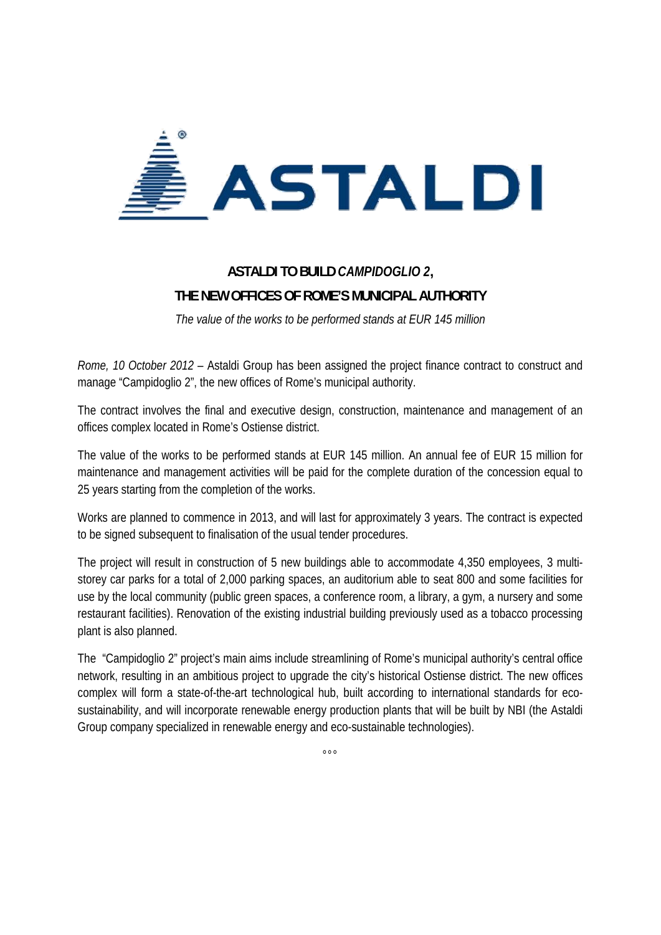

## **ASTALDI TO BUILD** *CAMPIDOGLIO 2***, THE NEW OFFICES OF ROME'S MUNICIPAL AUTHORITY**

*The value of the works to be performed stands at EUR 145 million* 

*Rome, 10 October 2012* – Astaldi Group has been assigned the project finance contract to construct and manage "Campidoglio 2", the new offices of Rome's municipal authority.

The contract involves the final and executive design, construction, maintenance and management of an offices complex located in Rome's Ostiense district.

The value of the works to be performed stands at EUR 145 million. An annual fee of EUR 15 million for maintenance and management activities will be paid for the complete duration of the concession equal to 25 years starting from the completion of the works.

Works are planned to commence in 2013, and will last for approximately 3 years. The contract is expected to be signed subsequent to finalisation of the usual tender procedures.

The project will result in construction of 5 new buildings able to accommodate 4,350 employees, 3 multistorey car parks for a total of 2,000 parking spaces, an auditorium able to seat 800 and some facilities for use by the local community (public green spaces, a conference room, a library, a gym, a nursery and some restaurant facilities). Renovation of the existing industrial building previously used as a tobacco processing plant is also planned.

The "Campidoglio 2" project's main aims include streamlining of Rome's municipal authority's central office network, resulting in an ambitious project to upgrade the city's historical Ostiense district. The new offices complex will form a state-of-the-art technological hub, built according to international standards for ecosustainability, and will incorporate renewable energy production plants that will be built by NBI (the Astaldi Group company specialized in renewable energy and eco-sustainable technologies).

°°°